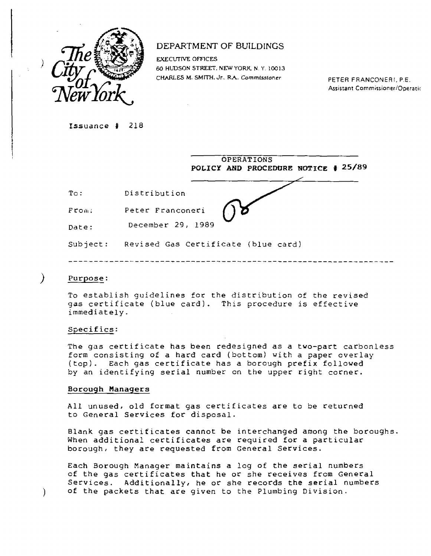

# DEPARTMENT OF BUILDINGS

EXECUTIVE OFFICES 60 HUDSON STREET. NEW YORK. N. Y. 10013 CHARLES M. SMITH. Jr., R.A. Commissioner PETER FRANCONERI, P.E.

Assistant Commissioner/Operatic

Issuance # 218

|          | OPERATIONS<br>POLICY AND PROCEDURE NOTICE # 25/89 |
|----------|---------------------------------------------------|
| To:      | Distribution                                      |
| $F$ rom: | Peter Franconeri                                  |
| Date:    | December 29, 1989                                 |
| Subject: | Revised Gas Certificate (blue card)               |

## Purpose:

 $\mathcal{Y}$ 

 $\mathcal{L}$ 

To establish guidelines for the distribution of the revised gas certificate (blue card). This procedure is effective immediately.

## Specifics:

The gas certificate has been redesigned as a two-part carbonless form consisting of a hard card (bottom) with a paper overlay (top). Each gas certificate has a borough prefix followed by an identifying serial number on the upper right corner.

#### **Borough Managers**

All unused, old format gas certificates are to be returned to General Services for disposal.

Blank gas certificates cannot be interchanged among the boroughs. When additional certificates are required for a particular borough, they are requested from General Services.

Each Borough Manager maintains a log of the serial numbers of the gas certificates that he or she receives from General Services. Additionally, he or she records the serial numbers of the packets that are given to the Plumbing Division.